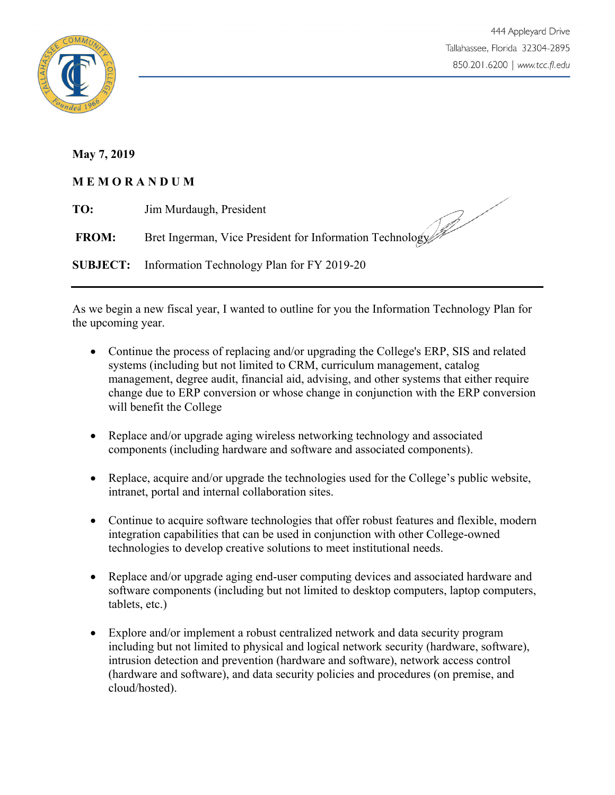

**May 7, 2019**

## **M E M O R A N D U M**

| TO:          | Jim Murdaugh, President                                    |
|--------------|------------------------------------------------------------|
| <b>FROM:</b> | Bret Ingerman, Vice President for Information Technology   |
|              | <b>SUBJECT:</b> Information Technology Plan for FY 2019-20 |

As we begin a new fiscal year, I wanted to outline for you the Information Technology Plan for the upcoming year.

- Continue the process of replacing and/or upgrading the College's ERP, SIS and related systems (including but not limited to CRM, curriculum management, catalog management, degree audit, financial aid, advising, and other systems that either require change due to ERP conversion or whose change in conjunction with the ERP conversion will benefit the College
- Replace and/or upgrade aging wireless networking technology and associated components (including hardware and software and associated components).
- Replace, acquire and/or upgrade the technologies used for the College's public website, intranet, portal and internal collaboration sites.
- Continue to acquire software technologies that offer robust features and flexible, modern integration capabilities that can be used in conjunction with other College-owned technologies to develop creative solutions to meet institutional needs.
- Replace and/or upgrade aging end-user computing devices and associated hardware and software components (including but not limited to desktop computers, laptop computers, tablets, etc.)
- Explore and/or implement a robust centralized network and data security program including but not limited to physical and logical network security (hardware, software), intrusion detection and prevention (hardware and software), network access control (hardware and software), and data security policies and procedures (on premise, and cloud/hosted).